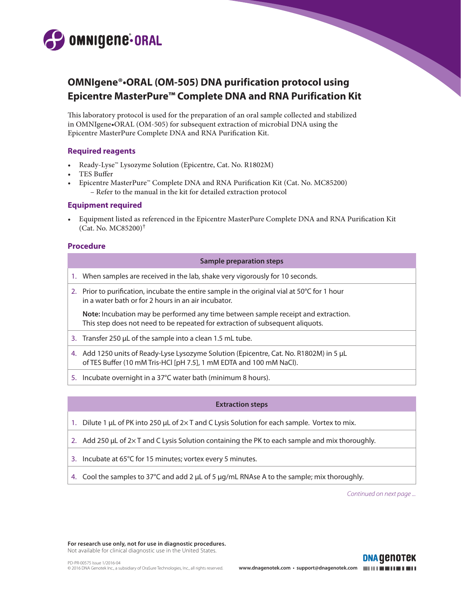

# **OMNIgene®•ORAL (OM-505) DNA purification protocol using Epicentre MasterPure™ Complete DNA and RNA Purification Kit**

This laboratory protocol is used for the preparation of an oral sample collected and stabilized in OMNIgene•ORAL (OM-505) for subsequent extraction of microbial DNA using the Epicentre MasterPure Complete DNA and RNA Purification Kit.

# **Required reagents**

- Ready-Lyse™ Lysozyme Solution (Epicentre, Cat. No. R1802M)
- TES Buffer
- Epicentre MasterPure™ Complete DNA and RNA Purification Kit (Cat. No. MC85200) – Refer to the manual in the kit for detailed extraction protocol

## **Equipment required**

• Equipment listed as referenced in the Epicentre MasterPure Complete DNA and RNA Purification Kit (Cat. No. MC85200)†

## **Procedure**

| Sample preparation steps                                                                                                                                           |
|--------------------------------------------------------------------------------------------------------------------------------------------------------------------|
| 1. When samples are received in the lab, shake very vigorously for 10 seconds.                                                                                     |
| 2. Prior to purification, incubate the entire sample in the original vial at 50°C for 1 hour<br>in a water bath or for 2 hours in an air incubator.                |
| Note: Incubation may be performed any time between sample receipt and extraction.<br>This step does not need to be repeated for extraction of subsequent aliquots. |
| 3. Transfer 250 µL of the sample into a clean 1.5 mL tube.                                                                                                         |
| 4. Add 1250 units of Ready-Lyse Lysozyme Solution (Epicentre, Cat. No. R1802M) in 5 µL<br>of TES Buffer (10 mM Tris-HCl [pH 7.5], 1 mM EDTA and 100 mM NaCl).      |
| 5. Incubate overnight in a 37°C water bath (minimum 8 hours).                                                                                                      |

### **Extraction steps**

- 1. Dilute 1 µL of PK into 250 µL of 2× T and C Lysis Solution for each sample. Vortex to mix.
- 2. Add 250  $\mu$ L of 2× T and C Lysis Solution containing the PK to each sample and mix thoroughly.
- 3. Incubate at 65°C for 15 minutes; vortex every 5 minutes.
- 4. Cool the samples to 37°C and add 2  $\mu$ L of 5  $\mu$ g/mL RNAse A to the sample; mix thoroughly.

*Continued on next page ...*

**DNA GENOTEK** 

╲

**For research use only, not for use in diagnostic procedures.**  Not available for clinical diagnostic use in the United States.